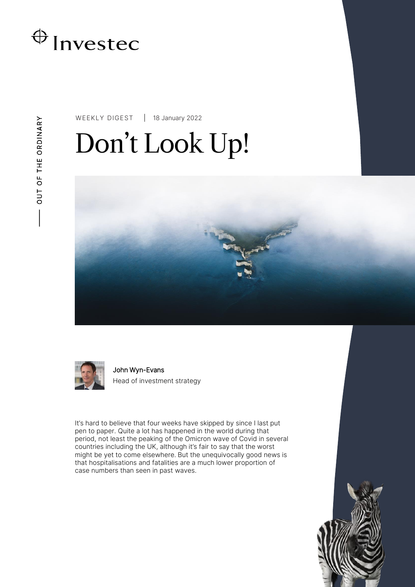

WEEKLY DIGEST 18 January 2022

# Don't Look Up!





John Wyn-Evans Head of investment strategy

It's hard to believe that four weeks have skipped by since I last put pen to paper. Quite a lot has happened in the world during that period, not least the peaking of the Omicron wave of Covid in several countries including the UK, although it's fair to say that the worst might be yet to come elsewhere. But the unequivocally good news is that hospitalisations and fatalities are a much lower proportion of case numbers than seen in past waves.

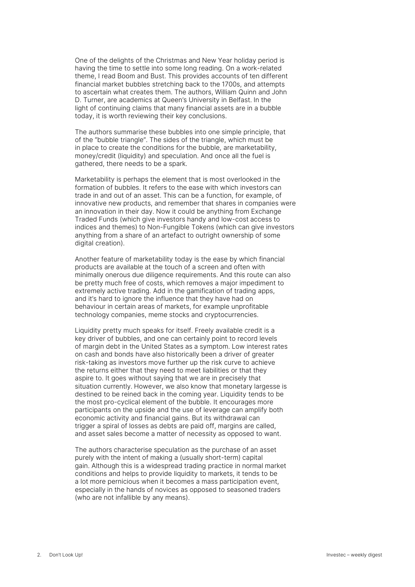One of the delights of the Christmas and New Year holiday period is having the time to settle into some long reading. On a work-related theme, I read Boom and Bust. This provides accounts of ten different financial market bubbles stretching back to the 1700s, and attempts to ascertain what creates them. The authors, William Quinn and John D. Turner, are academics at Queen's University in Belfast. In the light of continuing claims that many financial assets are in a bubble today, it is worth reviewing their key conclusions.

The authors summarise these bubbles into one simple principle, that of the "bubble triangle". The sides of the triangle, which must be in place to create the conditions for the bubble, are marketability, money/credit (liquidity) and speculation. And once all the fuel is gathered, there needs to be a spark.

Marketability is perhaps the element that is most overlooked in the formation of bubbles. It refers to the ease with which investors can trade in and out of an asset. This can be a function, for example, of innovative new products, and remember that shares in companies were an innovation in their day. Now it could be anything from Exchange Traded Funds (which give investors handy and low-cost access to indices and themes) to Non-Fungible Tokens (which can give investors anything from a share of an artefact to outright ownership of some digital creation).

Another feature of marketability today is the ease by which financial products are available at the touch of a screen and often with minimally onerous due diligence requirements. And this route can also be pretty much free of costs, which removes a major impediment to extremely active trading. Add in the gamification of trading apps, and it's hard to ignore the influence that they have had on behaviour in certain areas of markets, for example unprofitable technology companies, meme stocks and cryptocurrencies.

Liquidity pretty much speaks for itself. Freely available credit is a key driver of bubbles, and one can certainly point to record levels of margin debt in the United States as a symptom. Low interest rates on cash and bonds have also historically been a driver of greater risk-taking as investors move further up the risk curve to achieve the returns either that they need to meet liabilities or that they aspire to. It goes without saying that we are in precisely that situation currently. However, we also know that monetary largesse is destined to be reined back in the coming year. Liquidity tends to be the most pro-cyclical element of the bubble. It encourages more participants on the upside and the use of leverage can amplify both economic activity and financial gains. But its withdrawal can trigger a spiral of losses as debts are paid off, margins are called, and asset sales become a matter of necessity as opposed to want.

The authors characterise speculation as the purchase of an asset purely with the intent of making a (usually short-term) capital gain. Although this is a widespread trading practice in normal market conditions and helps to provide liquidity to markets, it tends to be a lot more pernicious when it becomes a mass participation event, especially in the hands of novices as opposed to seasoned traders (who are not infallible by any means).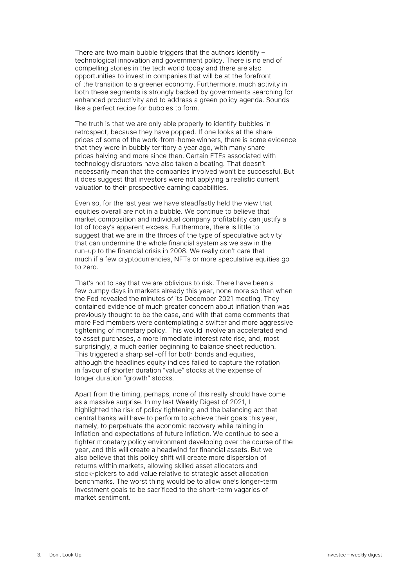There are two main bubble triggers that the authors identify  $$ technological innovation and government policy. There is no end of compelling stories in the tech world today and there are also opportunities to invest in companies that will be at the forefront of the transition to a greener economy. Furthermore, much activity in both these segments is strongly backed by governments searching for enhanced productivity and to address a green policy agenda. Sounds like a perfect recipe for bubbles to form.

The truth is that we are only able properly to identify bubbles in retrospect, because they have popped. If one looks at the share prices of some of the work-from-home winners, there is some evidence that they were in bubbly territory a year ago, with many share prices halving and more since then. Certain ETFs associated with technology disruptors have also taken a beating. That doesn't necessarily mean that the companies involved won't be successful. But it does suggest that investors were not applying a realistic current valuation to their prospective earning capabilities.

Even so, for the last year we have steadfastly held the view that equities overall are not in a bubble. We continue to believe that market composition and individual company profitability can justify a lot of today's apparent excess. Furthermore, there is little to suggest that we are in the throes of the type of speculative activity that can undermine the whole financial system as we saw in the run-up to the financial crisis in 2008. We really don't care that much if a few cryptocurrencies, NFTs or more speculative equities go to zero.

That's not to say that we are oblivious to risk. There have been a few bumpy days in markets already this year, none more so than when the Fed revealed the minutes of its December 2021 meeting. They contained evidence of much greater concern about inflation than was previously thought to be the case, and with that came comments that more Fed members were contemplating a swifter and more aggressive tightening of monetary policy. This would involve an accelerated end to asset purchases, a more immediate interest rate rise, and, most surprisingly, a much earlier beginning to balance sheet reduction. This triggered a sharp sell-off for both bonds and equities, although the headlines equity indices failed to capture the rotation in favour of shorter duration "value" stocks at the expense of longer duration "growth" stocks.

Apart from the timing, perhaps, none of this really should have come as a massive surprise. In my last Weekly Digest of 2021, I highlighted the risk of policy tightening and the balancing act that central banks will have to perform to achieve their goals this year, namely, to perpetuate the economic recovery while reining in inflation and expectations of future inflation. We continue to see a tighter monetary policy environment developing over the course of the year, and this will create a headwind for financial assets. But we also believe that this policy shift will create more dispersion of returns within markets, allowing skilled asset allocators and stock-pickers to add value relative to strategic asset allocation benchmarks. The worst thing would be to allow one's longer-term investment goals to be sacrificed to the short-term vagaries of market sentiment.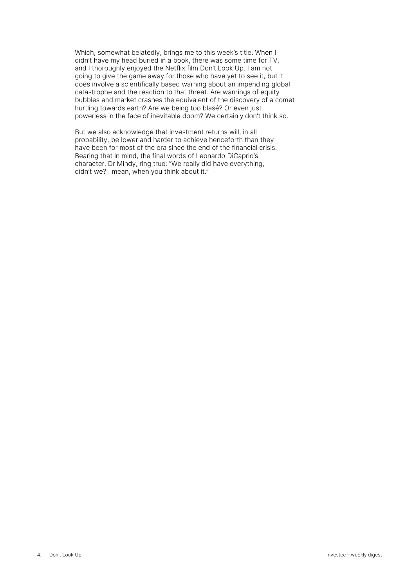Which, somewhat belatedly, brings me to this week's title. When I didn't have my head buried in a book, there was some time for TV, and I thoroughly enjoyed the Netflix film Don't Look Up. I am not going to give the game away for those who have yet to see it, but it does involve a scientifically based warning about an impending global catastrophe and the reaction to that threat. Are warnings of equity bubbles and market crashes the equivalent of the discovery of a comet hurtling towards earth? Are we being too blasé? Or even just powerless in the face of inevitable doom? We certainly don't think so.

But we also acknowledge that investment returns will, in all probability, be lower and harder to achieve henceforth than they have been for most of the era since the end of the financial crisis. Bearing that in mind, the final words of Leonardo DiCaprio's character, Dr Mindy, ring true: "We really did have everything, didn't we? I mean, when you think about it."